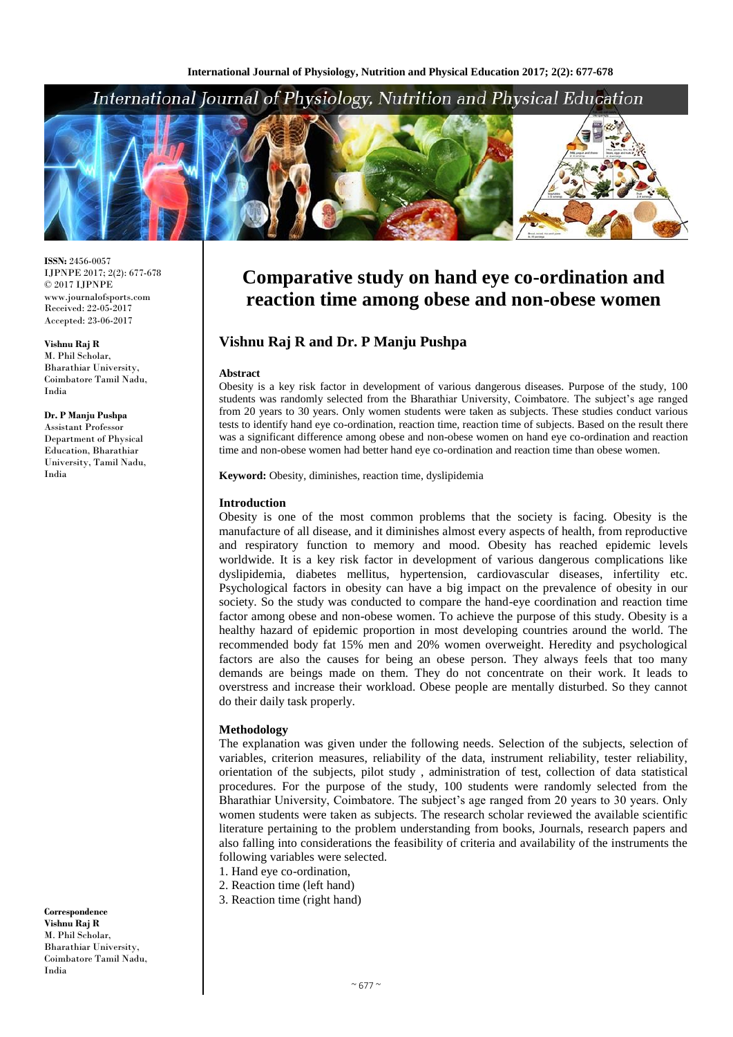## International Journal of Physiology, Nutrition and Physical Education



**ISSN:** 2456-0057 IJPNPE 2017; 2(2): 677-678  $\odot$  2017 IJPNPE www.journalofsports.com Received: 22-05-2017 Accepted: 23-06-2017

**Vishnu Raj R** M. Phil Scholar, Bharathiar University, Coimbatore Tamil Nadu, India

#### **Dr. P Manju Pushpa**

Assistant Professor Department of Physical Education, Bharathiar University, Tamil Nadu, India

**Correspondence Vishnu Raj R** M. Phil Scholar, Bharathiar University, Coimbatore Tamil Nadu, India

# **Comparative study on hand eye co-ordination and reaction time among obese and non-obese women**

### **Vishnu Raj R and Dr. P Manju Pushpa**

#### **Abstract**

Obesity is a key risk factor in development of various dangerous diseases. Purpose of the study, 100 students was randomly selected from the Bharathiar University, Coimbatore. The subject's age ranged from 20 years to 30 years. Only women students were taken as subjects. These studies conduct various tests to identify hand eye co-ordination, reaction time, reaction time of subjects. Based on the result there was a significant difference among obese and non-obese women on hand eye co-ordination and reaction time and non-obese women had better hand eye co-ordination and reaction time than obese women.

**Keyword:** Obesity, diminishes, reaction time, dyslipidemia

#### **Introduction**

Obesity is one of the most common problems that the society is facing. Obesity is the manufacture of all disease, and it diminishes almost every aspects of health, from reproductive and respiratory function to memory and mood. Obesity has reached epidemic levels worldwide. It is a key risk factor in development of various dangerous complications like dyslipidemia, diabetes mellitus, hypertension, cardiovascular diseases, infertility etc. Psychological factors in obesity can have a big impact on the prevalence of obesity in our society. So the study was conducted to compare the hand-eye coordination and reaction time factor among obese and non-obese women. To achieve the purpose of this study. Obesity is a healthy hazard of epidemic proportion in most developing countries around the world. The recommended body fat 15% men and 20% women overweight. Heredity and psychological factors are also the causes for being an obese person. They always feels that too many demands are beings made on them. They do not concentrate on their work. It leads to overstress and increase their workload. Obese people are mentally disturbed. So they cannot do their daily task properly.

#### **Methodology**

The explanation was given under the following needs. Selection of the subjects, selection of variables, criterion measures, reliability of the data, instrument reliability, tester reliability, orientation of the subjects, pilot study , administration of test, collection of data statistical procedures. For the purpose of the study, 100 students were randomly selected from the Bharathiar University, Coimbatore. The subject's age ranged from 20 years to 30 years. Only women students were taken as subjects. The research scholar reviewed the available scientific literature pertaining to the problem understanding from books, Journals, research papers and also falling into considerations the feasibility of criteria and availability of the instruments the following variables were selected.

- 1. Hand eye co-ordination,
- 2. Reaction time (left hand)
- 3. Reaction time (right hand)